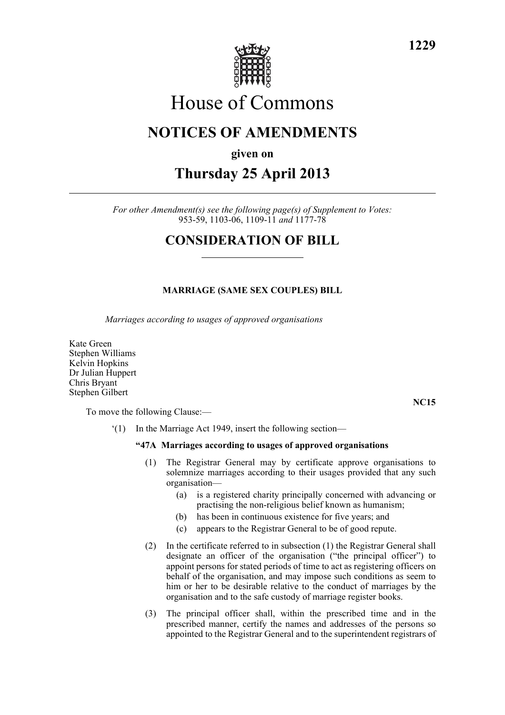

# House of Commons

## **NOTICES OF AMENDMENTS**

### **given on**

# **Thursday 25 April 2013**

*For other Amendment(s) see the following page(s) of Supplement to Votes:* 953-59, 1103-06, 1109-11 *and* 1177-78

### **CONSIDERATION OF BILL**

### **MARRIAGE (SAME SEX COUPLES) BILL**

*Marriages according to usages of approved organisations*

Kate Green Stephen Williams Kelvin Hopkins Dr Julian Huppert Chris Bryant Stephen Gilbert

To move the following Clause:—

**NC15**

'(1) In the Marriage Act 1949, insert the following section—

#### **"47A Marriages according to usages of approved organisations**

- (1) The Registrar General may by certificate approve organisations to solemnize marriages according to their usages provided that any such organisation—
	- (a) is a registered charity principally concerned with advancing or practising the non-religious belief known as humanism;
	- (b) has been in continuous existence for five years; and
	- (c) appears to the Registrar General to be of good repute.
- (2) In the certificate referred to in subsection (1) the Registrar General shall designate an officer of the organisation ("the principal officer") to appoint persons for stated periods of time to act as registering officers on behalf of the organisation, and may impose such conditions as seem to him or her to be desirable relative to the conduct of marriages by the organisation and to the safe custody of marriage register books.
- (3) The principal officer shall, within the prescribed time and in the prescribed manner, certify the names and addresses of the persons so appointed to the Registrar General and to the superintendent registrars of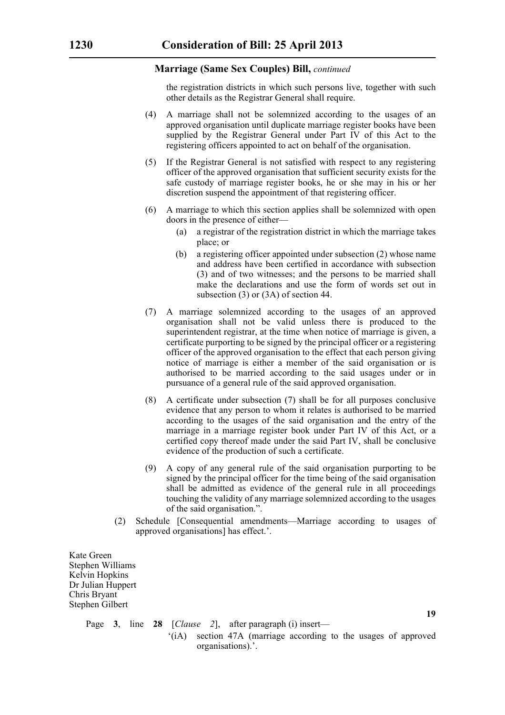#### **Marriage (Same Sex Couples) Bill,** *continued*

the registration districts in which such persons live, together with such other details as the Registrar General shall require.

- (4) A marriage shall not be solemnized according to the usages of an approved organisation until duplicate marriage register books have been supplied by the Registrar General under Part IV of this Act to the registering officers appointed to act on behalf of the organisation.
- (5) If the Registrar General is not satisfied with respect to any registering officer of the approved organisation that sufficient security exists for the safe custody of marriage register books, he or she may in his or her discretion suspend the appointment of that registering officer.
- (6) A marriage to which this section applies shall be solemnized with open doors in the presence of either—
	- (a) a registrar of the registration district in which the marriage takes place; or
	- (b) a registering officer appointed under subsection (2) whose name and address have been certified in accordance with subsection (3) and of two witnesses; and the persons to be married shall make the declarations and use the form of words set out in subsection (3) or (3A) of section 44.
- (7) A marriage solemnized according to the usages of an approved organisation shall not be valid unless there is produced to the superintendent registrar, at the time when notice of marriage is given, a certificate purporting to be signed by the principal officer or a registering officer of the approved organisation to the effect that each person giving notice of marriage is either a member of the said organisation or is authorised to be married according to the said usages under or in pursuance of a general rule of the said approved organisation.
- (8) A certificate under subsection (7) shall be for all purposes conclusive evidence that any person to whom it relates is authorised to be married according to the usages of the said organisation and the entry of the marriage in a marriage register book under Part IV of this Act, or a certified copy thereof made under the said Part IV, shall be conclusive evidence of the production of such a certificate.
- (9) A copy of any general rule of the said organisation purporting to be signed by the principal officer for the time being of the said organisation shall be admitted as evidence of the general rule in all proceedings touching the validity of any marriage solemnized according to the usages of the said organisation.".
- (2) Schedule [Consequential amendments—Marriage according to usages of approved organisations] has effect.'.

Kate Green Stephen Williams Kelvin Hopkins Dr Julian Huppert Chris Bryant Stephen Gilbert

Page **3**, line **28** [*Clause 2*], after paragraph (i) insert—

'(iA) section 47A (marriage according to the usages of approved organisations).'.

**19**